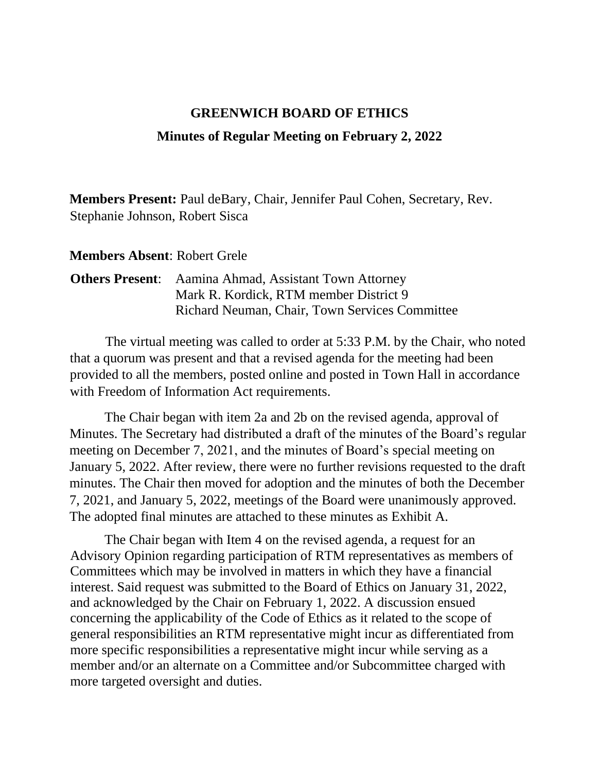## **GREENWICH BOARD OF ETHICS**

## **Minutes of Regular Meeting on February 2, 2022**

**Members Present:** Paul deBary, Chair, Jennifer Paul Cohen, Secretary, Rev. Stephanie Johnson, Robert Sisca

**Members Absent**: Robert Grele

## **Others Present**: Aamina Ahmad, Assistant Town Attorney Mark R. Kordick, RTM member District 9 Richard Neuman, Chair, Town Services Committee

The virtual meeting was called to order at 5:33 P.M. by the Chair, who noted that a quorum was present and that a revised agenda for the meeting had been provided to all the members, posted online and posted in Town Hall in accordance with Freedom of Information Act requirements.

The Chair began with item 2a and 2b on the revised agenda, approval of Minutes. The Secretary had distributed a draft of the minutes of the Board's regular meeting on December 7, 2021, and the minutes of Board's special meeting on January 5, 2022. After review, there were no further revisions requested to the draft minutes. The Chair then moved for adoption and the minutes of both the December 7, 2021, and January 5, 2022, meetings of the Board were unanimously approved. The adopted final minutes are attached to these minutes as Exhibit A.

The Chair began with Item 4 on the revised agenda, a request for an Advisory Opinion regarding participation of RTM representatives as members of Committees which may be involved in matters in which they have a financial interest. Said request was submitted to the Board of Ethics on January 31, 2022, and acknowledged by the Chair on February 1, 2022. A discussion ensued concerning the applicability of the Code of Ethics as it related to the scope of general responsibilities an RTM representative might incur as differentiated from more specific responsibilities a representative might incur while serving as a member and/or an alternate on a Committee and/or Subcommittee charged with more targeted oversight and duties.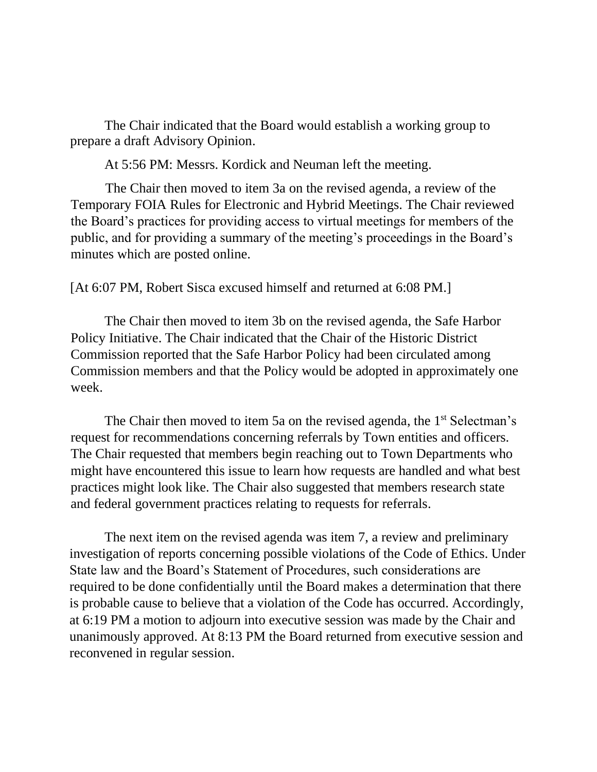The Chair indicated that the Board would establish a working group to prepare a draft Advisory Opinion.

At 5:56 PM: Messrs. Kordick and Neuman left the meeting.

The Chair then moved to item 3a on the revised agenda, a review of the Temporary FOIA Rules for Electronic and Hybrid Meetings. The Chair reviewed the Board's practices for providing access to virtual meetings for members of the public, and for providing a summary of the meeting's proceedings in the Board's minutes which are posted online.

[At 6:07 PM, Robert Sisca excused himself and returned at 6:08 PM.]

The Chair then moved to item 3b on the revised agenda, the Safe Harbor Policy Initiative. The Chair indicated that the Chair of the Historic District Commission reported that the Safe Harbor Policy had been circulated among Commission members and that the Policy would be adopted in approximately one week.

The Chair then moved to item 5a on the revised agenda, the  $1<sup>st</sup>$  Selectman's request for recommendations concerning referrals by Town entities and officers. The Chair requested that members begin reaching out to Town Departments who might have encountered this issue to learn how requests are handled and what best practices might look like. The Chair also suggested that members research state and federal government practices relating to requests for referrals.

The next item on the revised agenda was item 7, a review and preliminary investigation of reports concerning possible violations of the Code of Ethics. Under State law and the Board's Statement of Procedures, such considerations are required to be done confidentially until the Board makes a determination that there is probable cause to believe that a violation of the Code has occurred. Accordingly, at 6:19 PM a motion to adjourn into executive session was made by the Chair and unanimously approved. At 8:13 PM the Board returned from executive session and reconvened in regular session.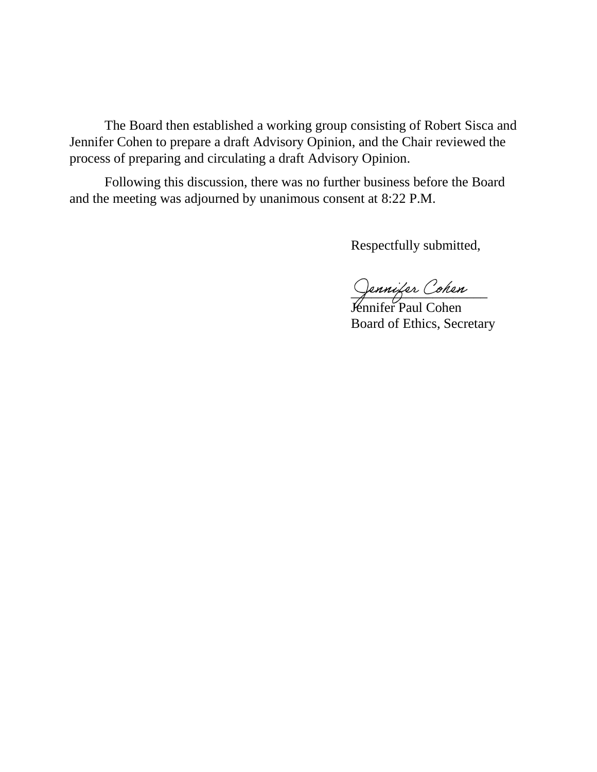The Board then established a working group consisting of Robert Sisca and Jennifer Cohen to prepare a draft Advisory Opinion, and the Chair reviewed the process of preparing and circulating a draft Advisory Opinion.

Following this discussion, there was no further business before the Board and the meeting was adjourned by unanimous consent at 8:22 P.M.

Respectfully submitted,

Jennifer Cohen

Jennifer Paul Cohen Board of Ethics, Secretary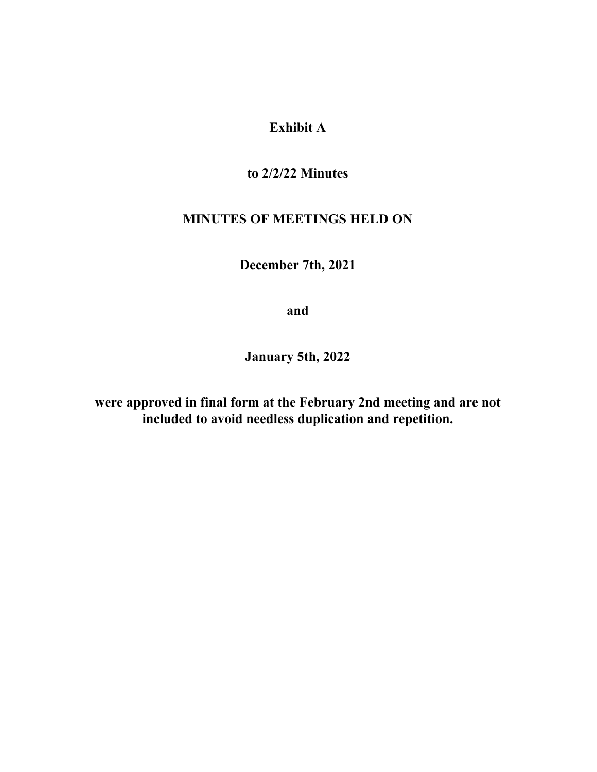**Exhibit A**

**to 2/2/22 Minutes**

## **MINUTES OF MEETINGS HELD ON**

**December 7th, 2021**

**and**

**January 5th, 2022**

**were approved in final form at the February 2nd meeting and are not included to avoid needless duplication and repetition.**